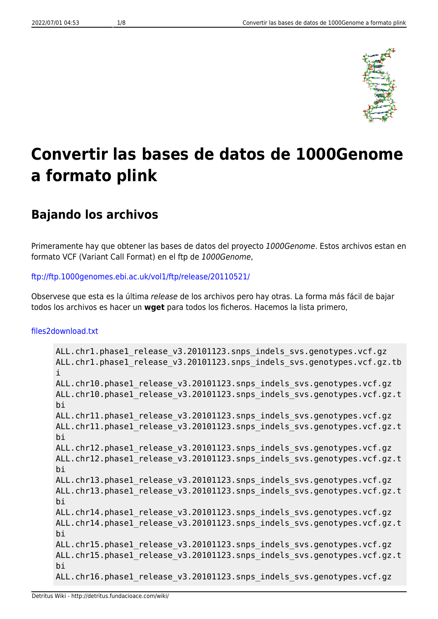

# **Convertir las bases de datos de 1000Genome a formato plink**

## **Bajando los archivos**

Primeramente hay que obtener las bases de datos del proyecto 1000Genome. Estos archivos estan en formato VCF (Variant Call Format) en el ftp de 1000Genome,

#### <ftp://ftp.1000genomes.ebi.ac.uk/vol1/ftp/release/20110521/>

Observese que esta es la última release de los archivos pero hay otras. La forma más fácil de bajar todos los archivos es hacer un **wget** para todos los ficheros. Hacemos la lista primero,

#### [files2download.txt](http://detritus.fundacioace.com/wiki/doku.php?do=export_code&id=genetica:pre_1kg&codeblock=0)

```
ALL.chr1.phase1_release_v3.20101123.snps_indels_svs.genotypes.vcf.gz
ALL.chr1.phase1 release v3.20101123.snps indels svs.genotypes.vcf.gz.tb
i
ALL.chr10.phase1 release v3.20101123.snps indels svs.genotypes.vcf.gz
ALL.chr10.phase1 release v3.20101123.snps indels svs.genotypes.vcf.gz.t
bi
ALL.chr11.phase1 release v3.20101123.snps indels svs.genotypes.vcf.gz
ALL.chr11.phase1 release v3.20101123.snps indels svs.genotypes.vcf.gz.t
bi
ALL.chr12.phase1 release v3.20101123.snps indels svs.genotypes.vcf.gz
ALL.chr12.phase1 release v3.20101123.snps indels svs.genotypes.vcf.gz.t
bi
ALL.chr13.phase1 release v3.20101123.snps indels svs.genotypes.vcf.gz
ALL.chr13.phase1 release v3.20101123.snps indels svs.genotypes.vcf.gz.t
bi
ALL.chr14.phase1 release v3.20101123.snps indels svs.genotypes.vcf.gz
ALL.chr14.phase1 release v3.20101123.snps indels svs.genotypes.vcf.gz.t
bi
ALL.chr15.phase1 release v3.20101123.snps indels svs.genotypes.vcf.gz
ALL.chr15.phase1 release v3.20101123.snps indels svs.genotypes.vcf.gz.t
bi
ALL.chr16.phase1 release v3.20101123.snps indels svs.genotypes.vcf.gz
```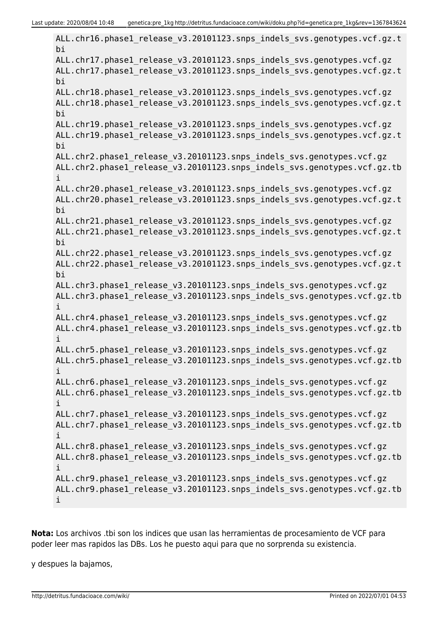ALL.chr16.phase1 release v3.20101123.snps indels svs.genotypes.vcf.gz.t bi ALL.chr17.phase1 release v3.20101123.snps indels svs.genotypes.vcf.gz ALL.chr17.phase1 release v3.20101123.snps indels svs.genotypes.vcf.gz.t bi ALL.chr18.phase1 release v3.20101123.snps indels svs.genotypes.vcf.gz ALL.chr18.phase1\_release\_v3.20101123.snps\_indels\_svs.genotypes.vcf.gz.t bi ALL.chr19.phase1 release v3.20101123.snps indels svs.genotypes.vcf.gz ALL.chr19.phase1 release v3.20101123.snps indels svs.genotypes.vcf.gz.t bi ALL.chr2.phase1\_release\_v3.20101123.snps\_indels\_svs.genotypes.vcf.gz ALL.chr2.phase1 release v3.20101123.snps indels svs.genotypes.vcf.gz.tb i ALL.chr20.phase1 release v3.20101123.snps indels svs.genotypes.vcf.gz ALL.chr20.phase1 release v3.20101123.snps indels svs.genotypes.vcf.gz.t bi ALL.chr21.phase1 release v3.20101123.snps indels svs.genotypes.vcf.gz ALL.chr21.phase1 release v3.20101123.snps indels svs.genotypes.vcf.gz.t bi ALL.chr22.phase1 release v3.20101123.snps indels svs.genotypes.vcf.gz ALL.chr22.phase1 release v3.20101123.snps indels svs.genotypes.vcf.gz.t bi ALL.chr3.phase1 release v3.20101123.snps indels svs.genotypes.vcf.gz ALL.chr3.phase1\_release\_v3.20101123.snps\_indels\_svs.genotypes.vcf.gz.tb i ALL.chr4.phase1 release v3.20101123.snps indels svs.genotypes.vcf.gz ALL.chr4.phase1 release v3.20101123.snps indels svs.genotypes.vcf.gz.tb i ALL.chr5.phase1 release v3.20101123.snps indels svs.genotypes.vcf.gz ALL.chr5.phase1 release v3.20101123.snps indels svs.genotypes.vcf.gz.tb i ALL.chr6.phase1 release v3.20101123.snps indels svs.genotypes.vcf.gz ALL.chr6.phase1 release v3.20101123.snps indels svs.genotypes.vcf.gz.tb i ALL.chr7.phase1 release v3.20101123.snps indels svs.genotypes.vcf.gz ALL.chr7.phase1 release v3.20101123.snps indels svs.genotypes.vcf.gz.tb i ALL.chr8.phase1\_release\_v3.20101123.snps\_indels\_svs.genotypes.vcf.gz ALL.chr8.phase1\_release\_v3.20101123.snps\_indels\_svs.genotypes.vcf.gz.tb i ALL.chr9.phase1 release v3.20101123.snps indels svs.genotypes.vcf.gz ALL.chr9.phase1 release v3.20101123.snps indels svs.genotypes.vcf.gz.tb i

**Nota:** Los archivos .tbi son los indices que usan las herramientas de procesamiento de VCF para poder leer mas rapidos las DBs. Los he puesto aqui para que no sorprenda su existencia.

y despues la bajamos,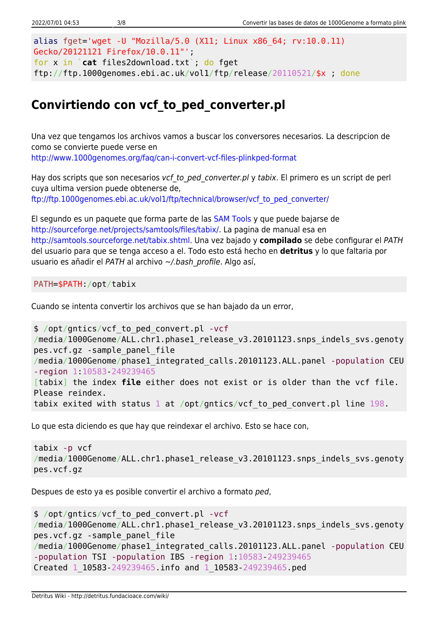```
alias fget='wget -U "Mozilla/5.0 (X11; Linux x86_64; rv:10.0.11)
Gecko/20121121 Firefox/10.0.11"';
for x in `cat files2download.txt`; do fget
ftp://ftp.1000genomes.ebi.ac.uk/vol1/ftp/release/20110521/$x ; done
```
## **Convirtiendo con vcf\_to\_ped\_converter.pl**

Una vez que tengamos los archivos vamos a buscar los conversores necesarios. La descripcion de como se convierte puede verse en <http://www.1000genomes.org/faq/can-i-convert-vcf-files-plinkped-format>

Hay dos scripts que son necesarios vcf to ped converter.pl y tabix. El primero es un script de perl cuya ultima version puede obtenerse de, [ftp://ftp.1000genomes.ebi.ac.uk/vol1/ftp/technical/browser/vcf\\_to\\_ped\\_converter/](ftp://ftp.1000genomes.ebi.ac.uk/vol1/ftp/technical/browser/vcf_to_ped_converter/)

El segundo es un paquete que forma parte de las [SAM Tools](http://samtools.sourceforge.net/) y que puede bajarse de [http://sourceforge.net/projects/samtools/files/tabix/.](http://sourceforge.net/projects/samtools/files/tabix/) La pagina de manual esa en <http://samtools.sourceforge.net/tabix.shtml>. Una vez bajado y **compilado** se debe configurar el PATH del usuario para que se tenga acceso a el. Todo esto está hecho en **detritus** y lo que faltaria por usuario es añadir el PATH al archivo ~/.bash profile. Algo así,

PATH=\$PATH:/opt/tabix

Cuando se intenta convertir los archivos que se han bajado da un error,

```
$ /opt/gntics/vcf_to_ped_convert.pl -vcf
/media/1000Genome/ALL.chr1.phase1 release v3.20101123.snps indels svs.genoty
pes.vcf.gz -sample_panel_file
/media/1000Genome/phase1_integrated_calls.20101123.ALL.panel -population CEU
-region 1:10583-249239465
[tabix] the index file either does not exist or is older than the vcf file.
Please reindex.
tabix exited with status 1 at /opt/gntics/vcf_to_ped_convert.pl line 198.
```
Lo que esta diciendo es que hay que reindexar el archivo. Esto se hace con,

```
tabix -p vcf
/media/1000Genome/ALL.chr1.phase1 release v3.20101123.snps indels svs.genoty
pes.vcf.gz
```
Despues de esto ya es posible convertir el archivo a formato ped,

```
$ /opt/gntics/vcf_to_ped_convert.pl -vcf
/media/1000Genome/ALL.chr1.phase1 release v3.20101123.snps indels svs.genoty
pes.vcf.gz -sample_panel_file
/media/1000Genome/phase1_integrated_calls.20101123.ALL.panel -population CEU
-population TSI -population IBS -region 1:10583-249239465
Created 1_10583-249239465.info and 1_10583-249239465.ped
```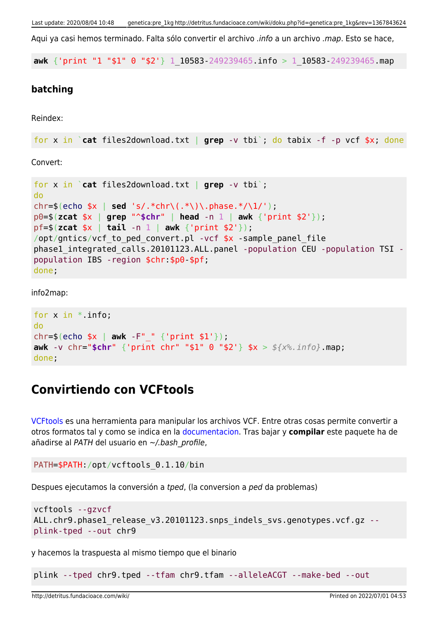Aqui va casi hemos terminado. Falta sólo convertir el archivo .info a un archivo .map. Esto se hace,

**awk** {'print "1 "\$1" 0 "\$2'} 1\_10583-249239465.info > 1\_10583-249239465.map

#### **batching**

Reindex:

```
for x in `cat files2download.txt | grep -v tbi`; do tabix -f -p vcf $x; done
```
Convert:

```
for x in `cat files2download.txt | grep -v tbi`;
do
chr=$(echo $x | sed 's/.*chr\(.*\)\.phase.*/\1/');
p0=$(zcat $x | grep "^$chr" | head -n 1 | awk {'print $2'});
pf=$(zcat $x | tail -n 1 | awk {'print $2'});
/opt/gntics/vcf to ped convert.pl -vcf *x -sample panel file
phase1_integrated_calls.20101123.ALL.panel -population CEU -population TSI -
population IBS -region $chr:$p0-$pf;
done;
```
info2map:

```
for x in *. info;
do
chr=$(echo $x | awk -F"_" {'print $1'});
awk -v chr="$chr" {'print chr" "$1" 0 "$2'} $x > ${x%.info}.map;
done;
```
### **Convirtiendo con VCFtools**

[VCFtools](http://vcftools.sourceforge.net/index.html) es una herramienta para manipular los archivos VCF. Entre otras cosas permite convertir a otros formatos tal y como se indica en la [documentacion.](http://vcftools.sourceforge.net/options.html) Tras bajar y **compilar** este paquete ha de añadirse al PATH del usuario en ~/.bash\_profile,

```
PATH=$PATH:/opt/vcftools_0.1.10/bin
```
Despues ejecutamos la conversión a tped, (la conversion a ped da problemas)

```
vcftools --gzvcf
ALL.chr9.phase1_release_v3.20101123.snps_indels_svs.genotypes.vcf.gz --
plink-tped --out chr9
```
y hacemos la traspuesta al mismo tiempo que el binario

plink --tped chr9.tped --tfam chr9.tfam --alleleACGT --make-bed --out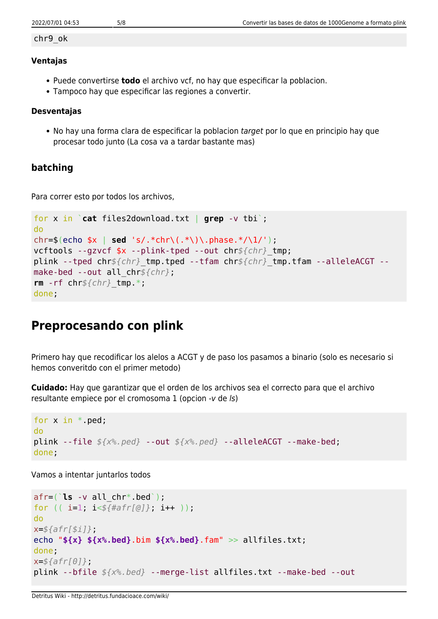#### chr9\_ok

#### **Ventajas**

- Puede convertirse **todo** el archivo vcf, no hay que especificar la poblacion.
- Tampoco hay que especificar las regiones a convertir.

#### **Desventajas**

• No hay una forma clara de especificar la poblacion target por lo que en principio hay que procesar todo junto (La cosa va a tardar bastante mas)

#### **batching**

Para correr esto por todos los archivos,

```
for x in `cat files2download.txt | grep -v tbi`;
do
chr=$(echo $x | sed 's/.*chr\(.*\)\.phase.*/\1/');
vcftools --gzvcf $x --plink-tped --out chr${chr}_tmp;
plink --tped chr${chr}_tmp.tped --tfam chr${chr}_tmp.tfam --alleleACGT --
make-bed --out all_chr${chr};
rm -rf chr${chr}_tmp.*;
done;
```
## **Preprocesando con plink**

Primero hay que recodificar los alelos a ACGT y de paso los pasamos a binario (solo es necesario si hemos converitdo con el primer metodo)

**Cuidado:** Hay que garantizar que el orden de los archivos sea el correcto para que el archivo resultante empiece por el cromosoma 1 (opcion -v de ls)

```
for x in * ped;
do
plink --file ${x%.ped} --out ${x%.ped} --alleleACGT --make-bed;
done;
```
Vamos a intentar juntarlos todos

```
afr=(`ls -v all_chr*.bed`);
for (( i=1; i<${#afr[@]}; i++ ));
do
x=${afr[$i]};
echo "${x} ${x%.bed}.bim ${x%.bed}.fam" >> allfiles.txt;
done;
x=${afr[0]};
plink --bfile ${x%.bed} --merge-list allfiles.txt --make-bed --out
```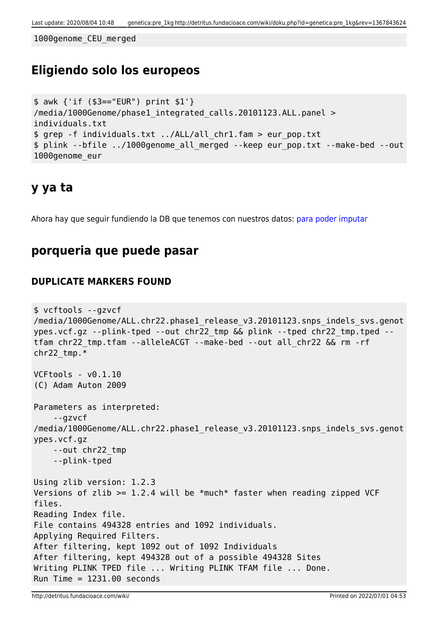1000genome\_CEU\_merged

## **Eligiendo solo los europeos**

```
$ awk {'if ($3=="EUR") print $1'}
/media/1000Genome/phase1_integrated_calls.20101123.ALL.panel >
individuals.txt
$ grep -f individuals.txt ../ALL/all_chr1.fam > eur_pop.txt
$ plink --bfile ../1000genome_all_merged --keep eur_pop.txt --make-bed --out
1000genome_eur
```
### **y ya ta**

Ahora hay que seguir fundiendo la DB que tenemos con nuestros datos: [para poder imputar](http://detritus.fundacioace.com/wiki/doku.php?id=genetica:plink_1kg_impute)

### **porqueria que puede pasar**

#### **DUPLICATE MARKERS FOUND**

```
$ vcftools --gzvcf
/media/1000Genome/ALL.chr22.phase1_release_v3.20101123.snps_indels_svs.genot
ypes.vcf.gz --plink-tped --out chr22_tmp && plink --tped chr22_tmp.tped --
tfam chr22_tmp.tfam --alleleACGT --make-bed --out all_chr22 && rm -rf
chr22_tmp.*
VCFtools - v0.1.10
(C) Adam Auton 2009
Parameters as interpreted:
     --gzvcf
/media/1000Genome/ALL.chr22.phase1 release v3.20101123.snps indels svs.genot
ypes.vcf.gz
     --out chr22_tmp
     --plink-tped
Using zlib version: 1.2.3
Versions of zlib >= 1.2.4 will be *much* faster when reading zipped VCF
files.
Reading Index file.
File contains 494328 entries and 1092 individuals.
Applying Required Filters.
After filtering, kept 1092 out of 1092 Individuals
After filtering, kept 494328 out of a possible 494328 Sites
Writing PLINK TPED file ... Writing PLINK TFAM file ... Done.
Run Time = 1231.00 seconds
```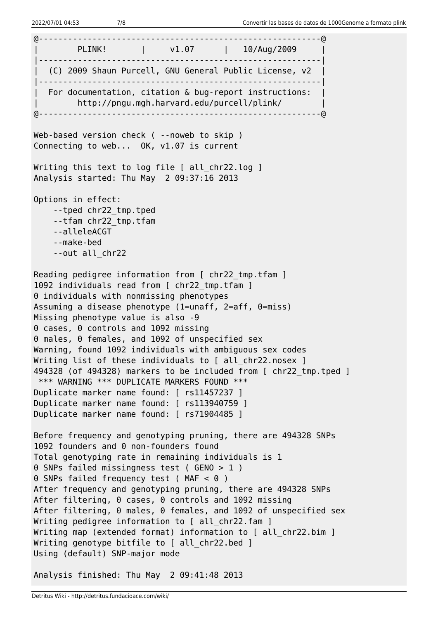@----------------------------------------------------------@ | PLINK! | v1.07 | 10/Aug/2009 | |----------------------------------------------------------| | (C) 2009 Shaun Purcell, GNU General Public License, v2 | |----------------------------------------------------------| For documentation, citation  $\&$  bug-report instructions:  $\|$ | http://pngu.mgh.harvard.edu/purcell/plink/ | @----------------------------------------------------------@ Web-based version check ( --noweb to skip ) Connecting to web... OK, v1.07 is current Writing this text to log file [ all chr22.log ] Analysis started: Thu May 2 09:37:16 2013 Options in effect: --tped chr22\_tmp.tped --tfam chr22\_tmp.tfam --alleleACGT --make-bed --out all\_chr22 Reading pedigree information from [ chr22 tmp.tfam ] 1092 individuals read from [ chr22 tmp.tfam ] 0 individuals with nonmissing phenotypes Assuming a disease phenotype (1=unaff, 2=aff, 0=miss) Missing phenotype value is also -9 0 cases, 0 controls and 1092 missing 0 males, 0 females, and 1092 of unspecified sex Warning, found 1092 individuals with ambiguous sex codes Writing list of these individuals to [ all chr22.nosex ] 494328 (of 494328) markers to be included from [ chr22\_tmp.tped ] \*\*\* WARNING \*\*\* DUPLICATE MARKERS FOUND \*\*\* Duplicate marker name found: [ rs11457237 ] Duplicate marker name found: [ rs113940759 ] Duplicate marker name found: [ rs71904485 ] Before frequency and genotyping pruning, there are 494328 SNPs 1092 founders and 0 non-founders found Total genotyping rate in remaining individuals is 1 0 SNPs failed missingness test ( GENO > 1 ) 0 SNPs failed frequency test (MAF < 0 ) After frequency and genotyping pruning, there are 494328 SNPs After filtering, 0 cases, 0 controls and 1092 missing After filtering, 0 males, 0 females, and 1092 of unspecified sex Writing pedigree information to [ all chr22.fam ] Writing map (extended format) information to [ all chr22.bim ] Writing genotype bitfile to [ all chr22.bed ] Using (default) SNP-major mode

Analysis finished: Thu May 2 09:41:48 2013